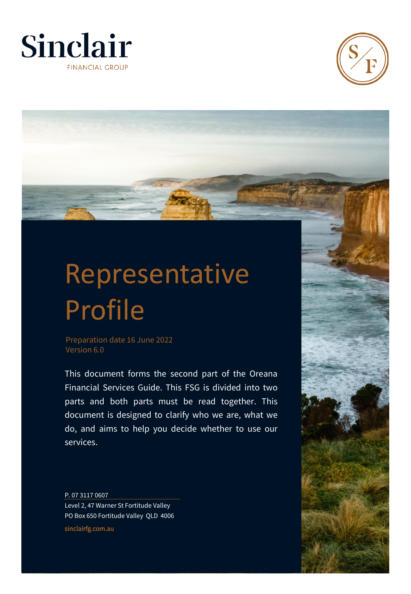



# Representative Profile

Preparation date 16 June 2022 Version 6.0

This document forms the second part of the Oreana Financial Services Guide. This FSG is divided into two parts and both parts must be read together. This document is designed to clarify who we are, what we do, and aims to help you decide whether to use our services.

P. 07 3117 0607 Level 2, 47 Warner St Fortitude Valley PO Box 650 Fortitude Valley QLD 4006 sinclairfg.com.au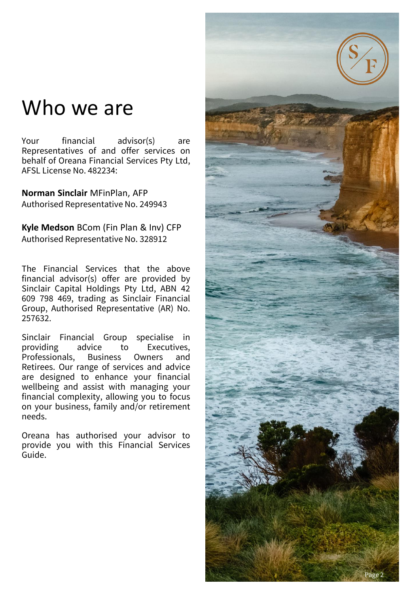### Who we are

Your financial advisor(s) are Representatives of and offer services on behalf of Oreana Financial Services Pty Ltd, AFSL License No. 482234:

**Norman Sinclair** MFinPlan, AFP Authorised Representative No. 249943

**Kyle Medson** BCom (Fin Plan & Inv) CFP Authorised Representative No. 328912

The Financial Services that the above financial advisor(s) offer are provided by Sinclair Capital Holdings Pty Ltd, ABN 42 609 798 469, trading as Sinclair Financial Group, Authorised Representative (AR) No. 257632.

Sinclair Financial Group specialise in providing advice to Executives, Professionals, Business Owners and Retirees. Our range of services and advice are designed to enhance your financial wellbeing and assist with managing your financial complexity, allowing you to focus on your business, family and/or retirement needs.

Oreana has authorised your advisor to provide you with this Financial Services Guide.

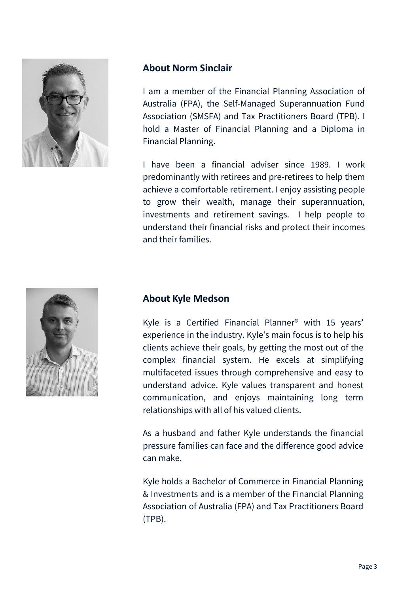

### **About Norm Sinclair**

I am a member of the Financial Planning Association of Australia (FPA), the Self-Managed Superannuation Fund Association (SMSFA) and Tax Practitioners Board (TPB). I hold a Master of Financial Planning and a Diploma in Financial Planning.

I have been a financial adviser since 1989. I work predominantly with retirees and pre-retirees to help them achieve a comfortable retirement. I enjoy assisting people to grow their wealth, manage their superannuation, investments and retirement savings. I help people to understand their financial risks and protect their incomes and their families.



### **About Kyle Medson**

Kyle is a Certified Financial Planner® with 15 years' experience in the industry. Kyle's main focus is to help his clients achieve their goals, by getting the most out of the complex financial system. He excels at simplifying multifaceted issues through comprehensive and easy to understand advice. Kyle values transparent and honest communication, and enjoys maintaining long term relationships with all of his valued clients.

As a husband and father Kyle understands the financial pressure families can face and the difference good advice can make.

Kyle holds a Bachelor of Commerce in Financial Planning & Investments and is a member of the Financial Planning Association of Australia (FPA) and Tax Practitioners Board (TPB).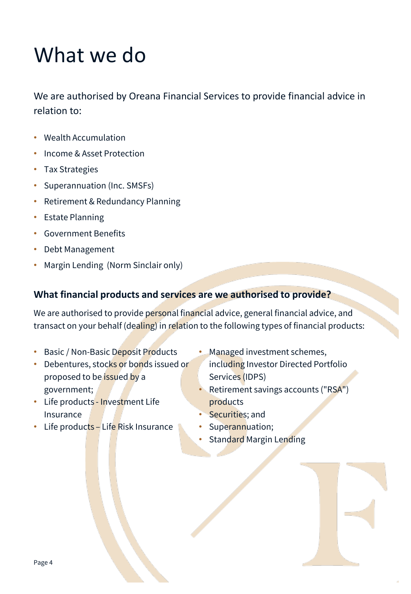### What we do

We are authorised by Oreana Financial Services to provide financial advice in relation to:

- Wealth Accumulation
- Income & Asset Protection
- Tax Strategies
- Superannuation (Inc. SMSFs)
- Retirement & Redundancy Planning
- Estate Planning
- Government Benefits
- Debt Management
- Margin Lending (Norm Sinclair only)

### **What financial products and services are we authorised to provide?**

We are authorised to provide personal financial advice, general financial advice, and transact on your behalf (dealing) in relation to the following types of financial products:

- Basic / Non-Basic Deposit Products
- Debentures, stocks or bonds issued or proposed to be **issued** by a government;
- Life products Investment Life Insurance
- Managed investment schemes, including Investor Directed Portfolio Services (IDPS)
- Retirement savings accounts ("RSA") products
- Securities; and
- Superannuation;
- Standard Margin Lending
- Life products Life Risk Insurance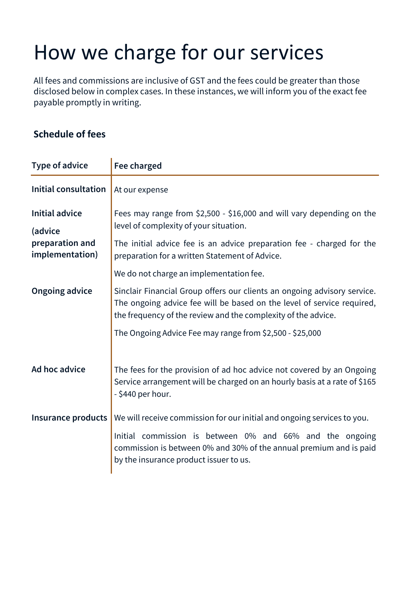## How we charge for our services

All fees and commissions are inclusive of GST and the fees could be greater than those disclosed below in complex cases. In these instances, we will inform you of the exact fee payable promptly in writing.

### **Schedule of fees**

| Type of advice                                                         | Fee charged                                                                                                                                                                                                                                                                                                                |
|------------------------------------------------------------------------|----------------------------------------------------------------------------------------------------------------------------------------------------------------------------------------------------------------------------------------------------------------------------------------------------------------------------|
| <b>Initial consultation</b>                                            | At our expense                                                                                                                                                                                                                                                                                                             |
| <b>Initial advice</b><br>(advice<br>preparation and<br>implementation) | Fees may range from \$2,500 - \$16,000 and will vary depending on the<br>level of complexity of your situation.<br>The initial advice fee is an advice preparation fee - charged for the<br>preparation for a written Statement of Advice.                                                                                 |
| <b>Ongoing advice</b>                                                  | We do not charge an implementation fee.<br>Sinclair Financial Group offers our clients an ongoing advisory service.<br>The ongoing advice fee will be based on the level of service required,<br>the frequency of the review and the complexity of the advice.<br>The Ongoing Advice Fee may range from \$2,500 - \$25,000 |
| Ad hoc advice                                                          | The fees for the provision of ad hoc advice not covered by an Ongoing<br>Service arrangement will be charged on an hourly basis at a rate of \$165<br>- \$440 per hour.                                                                                                                                                    |
| Insurance products                                                     | We will receive commission for our initial and ongoing services to you.<br>Initial commission is between 0% and 66% and the ongoing<br>commission is between 0% and 30% of the annual premium and is paid<br>by the insurance product issuer to us.                                                                        |